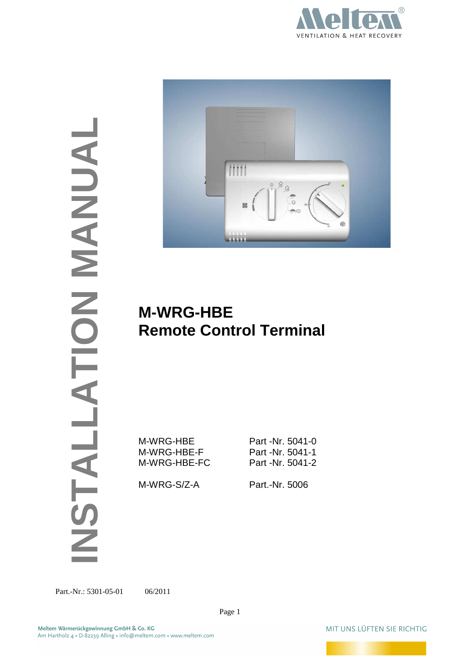

Part.-Nr.: 5301-05-01 06/2011 **Depart of All Control Manual Control Control Control Control Control Control Control Control Control Control Control Control Control Control Control Control Control Control Control Control Co** 



# **M-WRG-HBE Remote Control Terminal**

M-WRG-HBE Part -Nr. 5041-0 M-WRG-HBE-F Part -Nr. 5041-1 M-WRG-HBE-FC Part -Nr. 5041-2

M-WRG-S/Z-A Part.-Nr. 5006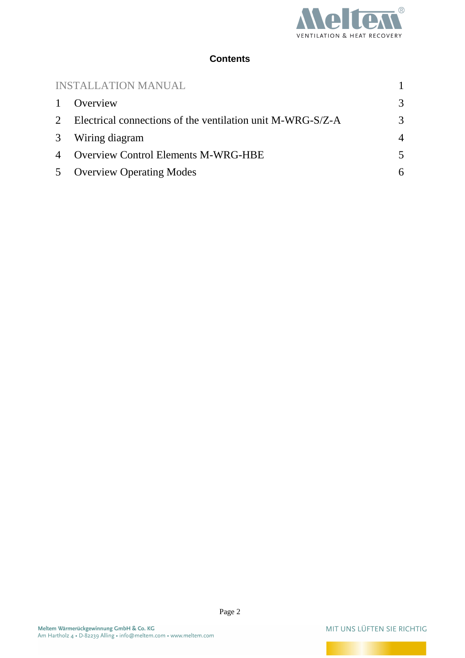

#### **Contents**

| <b>INSTALLATION MANUAL</b> |                                                              |                |  |  |
|----------------------------|--------------------------------------------------------------|----------------|--|--|
| $\mathbf{1}$               | Overview                                                     | 3              |  |  |
|                            | 2 Electrical connections of the ventilation unit M-WRG-S/Z-A |                |  |  |
|                            | 3 Wiring diagram                                             | $\overline{4}$ |  |  |
| $\overline{4}$             | <b>Overview Control Elements M-WRG-HBE</b>                   | 5              |  |  |
|                            | 5 Overview Operating Modes                                   | 6              |  |  |

MIT UNS LÜFTEN SIE RICHTIG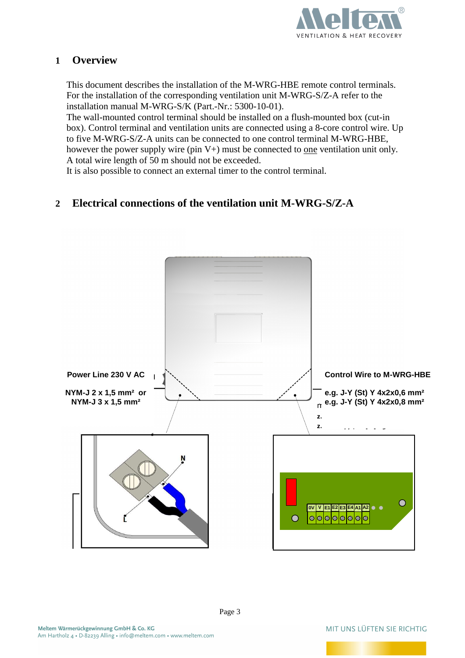

# **1 Overview**

This document describes the installation of the M-WRG-HBE remote control terminals. For the installation of the corresponding ventilation unit M-WRG-S/Z-A refer to the installation manual M-WRG-S/K (Part.-Nr.: 5300-10-01).

The wall-mounted control terminal should be installed on a flush-mounted box (cut-in box). Control terminal and ventilation units are connected using a 8-core control wire. Up to five M-WRG-S/Z-A units can be connected to one control terminal M-WRG-HBE, however the power supply wire (pin  $V+$ ) must be connected to one ventilation unit only. A total wire length of 50 m should not be exceeded.

It is also possible to connect an external timer to the control terminal.

# **2 Electrical connections of the ventilation unit M-WRG-S/Z-A**

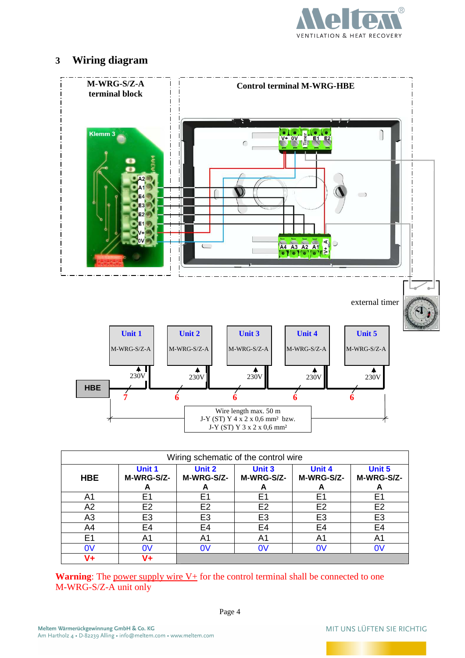

# **3 Wiring diagram**



**Warning:** The power supply wire V+ for the control terminal shall be connected to one M-WRG-S/Z-A unit only

**V+ V+** 

A4 | E4 | E4 | E4 | E4 | E4 E1 | A1 | A1 | A1 | A1 | A1 0V 0V 0V 0V 0V 0V

MIT UNS LÜFTEN SIE RICHTIG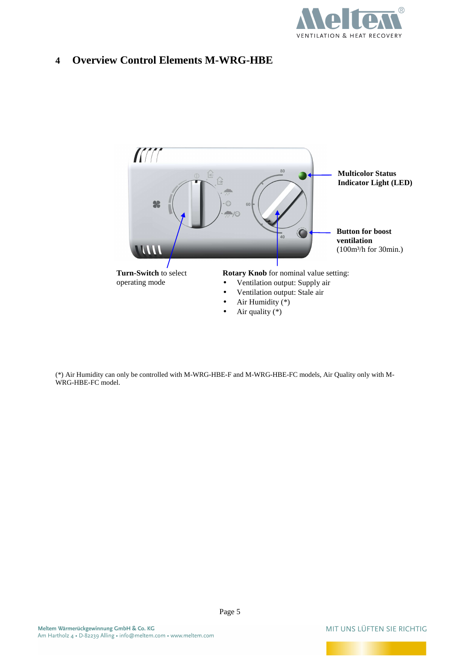

# **4 Overview Control Elements M-WRG-HBE**



(\*) Air Humidity can only be controlled with M-WRG-HBE-F and M-WRG-HBE-FC models, Air Quality only with M-WRG-HBE-FC model.

MIT UNS LÜFTEN SIE RICHTIG